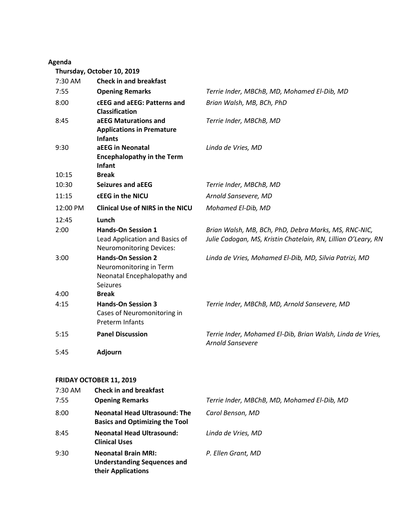## **Agenda**

**Thursday, October 10, 2019**

| 7:30 AM  | <b>Check in and breakfast</b>                                                                          |                                                                                                                       |
|----------|--------------------------------------------------------------------------------------------------------|-----------------------------------------------------------------------------------------------------------------------|
| 7:55     | <b>Opening Remarks</b>                                                                                 | Terrie Inder, MBChB, MD, Mohamed El-Dib, MD                                                                           |
| 8:00     | <b>cEEG and aEEG: Patterns and</b><br><b>Classification</b>                                            | Brian Walsh, MB, BCh, PhD                                                                                             |
| 8:45     | aEEG Maturations and<br><b>Applications in Premature</b><br><b>Infants</b>                             | Terrie Inder, MBChB, MD                                                                                               |
| 9:30     | aEEG in Neonatal<br><b>Encephalopathy in the Term</b><br><b>Infant</b>                                 | Linda de Vries, MD                                                                                                    |
| 10:15    | <b>Break</b>                                                                                           |                                                                                                                       |
| 10:30    | <b>Seizures and aEEG</b>                                                                               | Terrie Inder, MBChB, MD                                                                                               |
| 11:15    | cEEG in the NICU                                                                                       | Arnold Sansevere, MD                                                                                                  |
| 12:00 PM | <b>Clinical Use of NIRS in the NICU</b>                                                                | Mohamed El-Dib, MD                                                                                                    |
| 12:45    | Lunch                                                                                                  |                                                                                                                       |
| 2:00     | <b>Hands-On Session 1</b><br>Lead Application and Basics of<br><b>Neuromonitoring Devices:</b>         | Brian Walsh, MB, BCh, PhD, Debra Marks, MS, RNC-NIC,<br>Julie Cadogan, MS, Kristin Chatelain, RN, Lillian O'Leary, RN |
| 3:00     | <b>Hands-On Session 2</b><br>Neuromonitoring in Term<br>Neonatal Encephalopathy and<br><b>Seizures</b> | Linda de Vries, Mohamed El-Dib, MD, Silvia Patrizi, MD                                                                |
| 4:00     | <b>Break</b>                                                                                           |                                                                                                                       |
| 4:15     | <b>Hands-On Session 3</b><br>Cases of Neuromonitoring in<br><b>Preterm Infants</b>                     | Terrie Inder, MBChB, MD, Arnold Sansevere, MD                                                                         |
| 5:15     | <b>Panel Discussion</b>                                                                                | Terrie Inder, Mohamed El-Dib, Brian Walsh, Linda de Vries,<br><b>Arnold Sansevere</b>                                 |
| 5:45     | <b>Adjourn</b>                                                                                         |                                                                                                                       |

## **FRIDAY OCTOBER 11, 2019**

| 7:30 AM<br>7:55 | <b>Check in and breakfast</b><br><b>Opening Remarks</b>                                | Terrie Inder, MBChB, MD, Mohamed El-Dib, MD |
|-----------------|----------------------------------------------------------------------------------------|---------------------------------------------|
| 8:00            | <b>Neonatal Head Ultrasound: The</b><br><b>Basics and Optimizing the Tool</b>          | Carol Benson, MD                            |
| 8:45            | <b>Neonatal Head Ultrasound:</b><br><b>Clinical Uses</b>                               | Linda de Vries, MD                          |
| 9:30            | <b>Neonatal Brain MRI:</b><br><b>Understanding Sequences and</b><br>their Applications | P. Ellen Grant, MD                          |